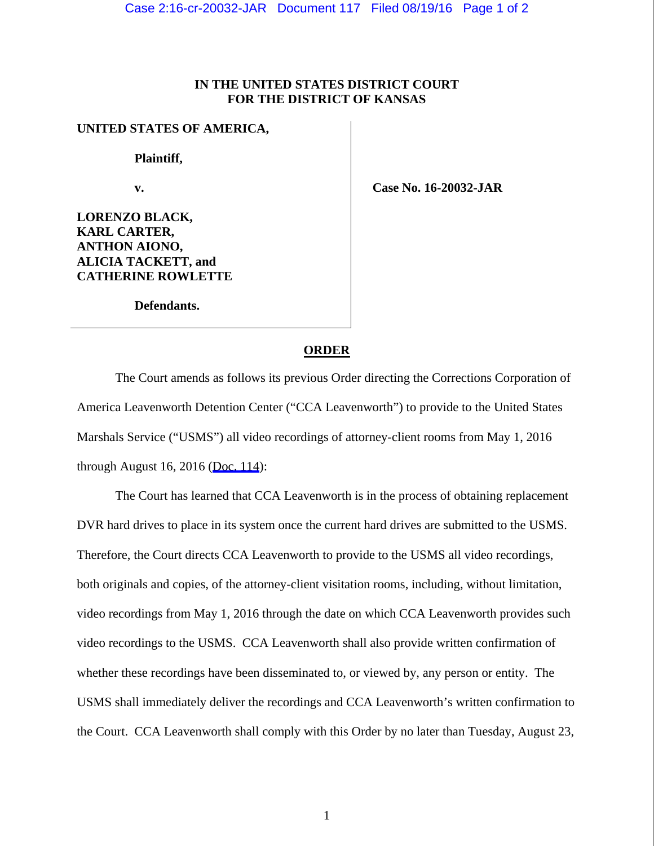## **IN THE UNITED STATES DISTRICT COURT FOR THE DISTRICT OF KANSAS**

## **UNITED STATES OF AMERICA,**

 **Plaintiff,** 

 **v.** 

 **Case No. 16-20032-JAR** 

**LORENZO BLACK, KARL CARTER, ANTHON AIONO, ALICIA TACKETT, and CATHERINE ROWLETTE** 

 **Defendants.** 

## **ORDER**

 The Court amends as follows its previous Order directing the Corrections Corporation of America Leavenworth Detention Center ("CCA Leavenworth") to provide to the United States Marshals Service ("USMS") all video recordings of attorney-client rooms from May 1, 2016 through August 16, 2016 ([Doc. 114\)](https://jenie.ao.dcn/ksd-ecf/d/cmecfservices/rest/file/finddoc?caseYear=2016&caseNum=20032&caseType=cr&caseOffice=2&docNum=114):

 The Court has learned that CCA Leavenworth is in the process of obtaining replacement DVR hard drives to place in its system once the current hard drives are submitted to the USMS. Therefore, the Court directs CCA Leavenworth to provide to the USMS all video recordings, both originals and copies, of the attorney-client visitation rooms, including, without limitation, video recordings from May 1, 2016 through the date on which CCA Leavenworth provides such video recordings to the USMS. CCA Leavenworth shall also provide written confirmation of whether these recordings have been disseminated to, or viewed by, any person or entity. The USMS shall immediately deliver the recordings and CCA Leavenworth's written confirmation to the Court. CCA Leavenworth shall comply with this Order by no later than Tuesday, August 23,